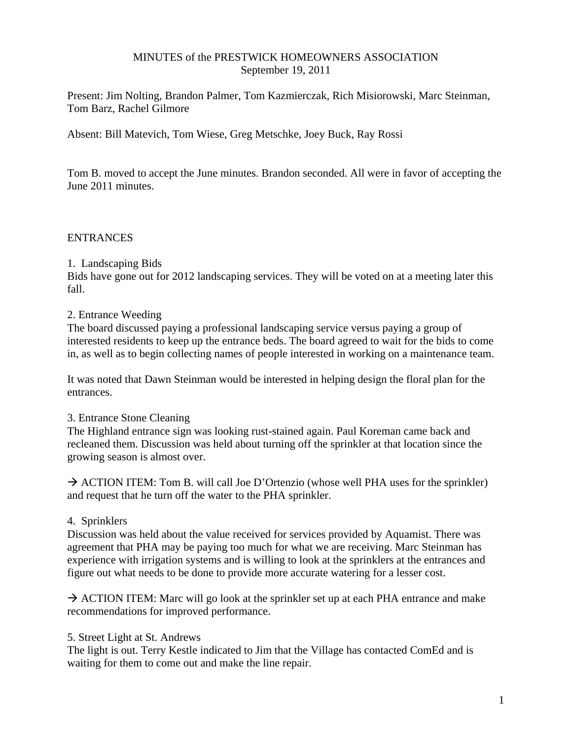## MINUTES of the PRESTWICK HOMEOWNERS ASSOCIATION September 19, 2011

Present: Jim Nolting, Brandon Palmer, Tom Kazmierczak, Rich Misiorowski, Marc Steinman, Tom Barz, Rachel Gilmore

Absent: Bill Matevich, Tom Wiese, Greg Metschke, Joey Buck, Ray Rossi

Tom B. moved to accept the June minutes. Brandon seconded. All were in favor of accepting the June 2011 minutes.

## **ENTRANCES**

## 1. Landscaping Bids

Bids have gone out for 2012 landscaping services. They will be voted on at a meeting later this fall.

### 2. Entrance Weeding

The board discussed paying a professional landscaping service versus paying a group of interested residents to keep up the entrance beds. The board agreed to wait for the bids to come in, as well as to begin collecting names of people interested in working on a maintenance team.

It was noted that Dawn Steinman would be interested in helping design the floral plan for the entrances.

### 3. Entrance Stone Cleaning

The Highland entrance sign was looking rust-stained again. Paul Koreman came back and recleaned them. Discussion was held about turning off the sprinkler at that location since the growing season is almost over.

 $\rightarrow$  ACTION ITEM: Tom B. will call Joe D'Ortenzio (whose well PHA uses for the sprinkler) and request that he turn off the water to the PHA sprinkler.

### 4. Sprinklers

Discussion was held about the value received for services provided by Aquamist. There was agreement that PHA may be paying too much for what we are receiving. Marc Steinman has experience with irrigation systems and is willing to look at the sprinklers at the entrances and figure out what needs to be done to provide more accurate watering for a lesser cost.

 $\rightarrow$  ACTION ITEM: Marc will go look at the sprinkler set up at each PHA entrance and make recommendations for improved performance.

### 5. Street Light at St. Andrews

The light is out. Terry Kestle indicated to Jim that the Village has contacted ComEd and is waiting for them to come out and make the line repair.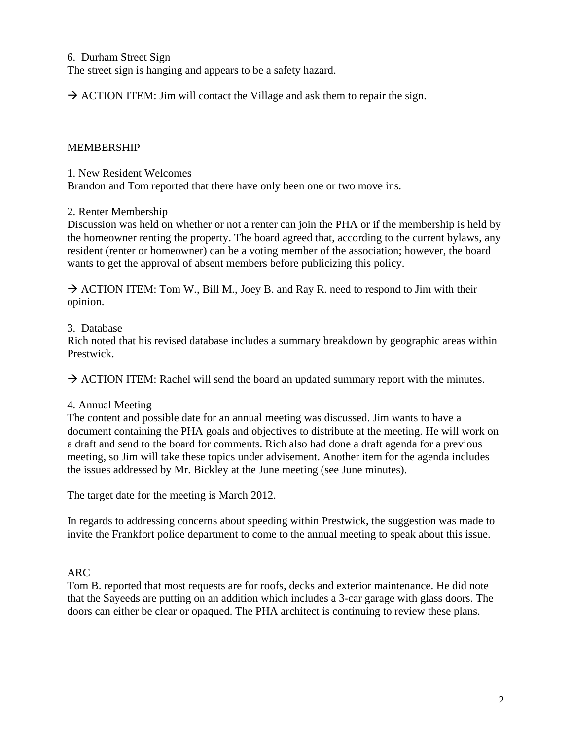6. Durham Street Sign

The street sign is hanging and appears to be a safety hazard.

 $\rightarrow$  ACTION ITEM: Jim will contact the Village and ask them to repair the sign.

## MEMBERSHIP

1. New Resident Welcomes Brandon and Tom reported that there have only been one or two move ins.

### 2. Renter Membership

Discussion was held on whether or not a renter can join the PHA or if the membership is held by the homeowner renting the property. The board agreed that, according to the current bylaws, any resident (renter or homeowner) can be a voting member of the association; however, the board wants to get the approval of absent members before publicizing this policy.

 $\rightarrow$  ACTION ITEM: Tom W., Bill M., Joey B. and Ray R. need to respond to Jim with their opinion.

### 3. Database

Rich noted that his revised database includes a summary breakdown by geographic areas within Prestwick.

 $\rightarrow$  ACTION ITEM: Rachel will send the board an updated summary report with the minutes.

### 4. Annual Meeting

The content and possible date for an annual meeting was discussed. Jim wants to have a document containing the PHA goals and objectives to distribute at the meeting. He will work on a draft and send to the board for comments. Rich also had done a draft agenda for a previous meeting, so Jim will take these topics under advisement. Another item for the agenda includes the issues addressed by Mr. Bickley at the June meeting (see June minutes).

The target date for the meeting is March 2012.

In regards to addressing concerns about speeding within Prestwick, the suggestion was made to invite the Frankfort police department to come to the annual meeting to speak about this issue.

### ARC

Tom B. reported that most requests are for roofs, decks and exterior maintenance. He did note that the Sayeeds are putting on an addition which includes a 3-car garage with glass doors. The doors can either be clear or opaqued. The PHA architect is continuing to review these plans.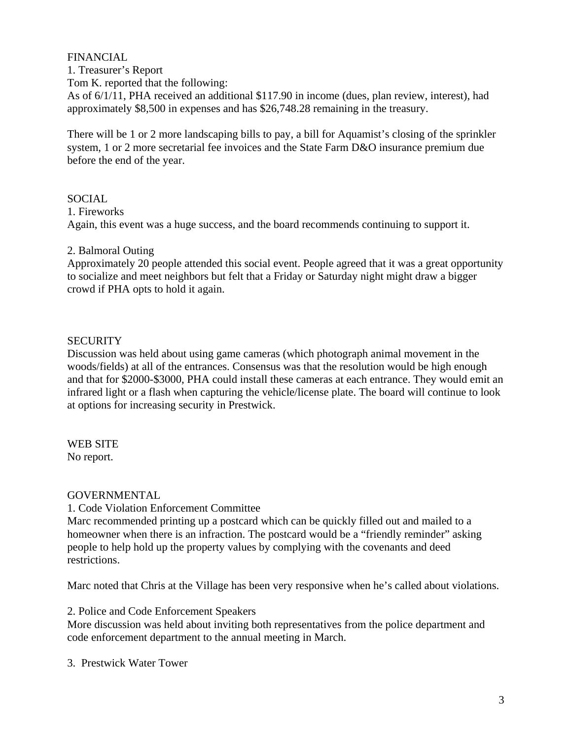# FINANCIAL 1. Treasurer's Report Tom K. reported that the following: As of 6/1/11, PHA received an additional \$117.90 in income (dues, plan review, interest), had approximately \$8,500 in expenses and has \$26,748.28 remaining in the treasury.

There will be 1 or 2 more landscaping bills to pay, a bill for Aquamist's closing of the sprinkler system, 1 or 2 more secretarial fee invoices and the State Farm D&O insurance premium due before the end of the year.

## **SOCIAL**

1. Fireworks Again, this event was a huge success, and the board recommends continuing to support it.

## 2. Balmoral Outing

Approximately 20 people attended this social event. People agreed that it was a great opportunity to socialize and meet neighbors but felt that a Friday or Saturday night might draw a bigger crowd if PHA opts to hold it again.

# **SECURITY**

Discussion was held about using game cameras (which photograph animal movement in the woods/fields) at all of the entrances. Consensus was that the resolution would be high enough and that for \$2000-\$3000, PHA could install these cameras at each entrance. They would emit an infrared light or a flash when capturing the vehicle/license plate. The board will continue to look at options for increasing security in Prestwick.

# WEB SITE

No report.

# GOVERNMENTAL

# 1. Code Violation Enforcement Committee

Marc recommended printing up a postcard which can be quickly filled out and mailed to a homeowner when there is an infraction. The postcard would be a "friendly reminder" asking people to help hold up the property values by complying with the covenants and deed restrictions.

Marc noted that Chris at the Village has been very responsive when he's called about violations.

# 2. Police and Code Enforcement Speakers

More discussion was held about inviting both representatives from the police department and code enforcement department to the annual meeting in March.

# 3. Prestwick Water Tower